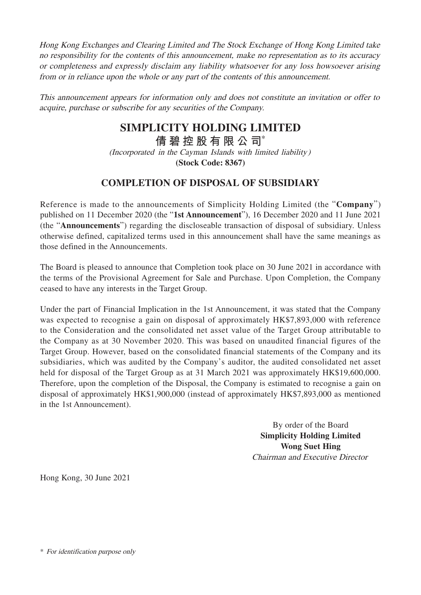Hong Kong Exchanges and Clearing Limited and The Stock Exchange of Hong Kong Limited take no responsibility for the contents of this announcement, make no representation as to its accuracy or completeness and expressly disclaim any liability whatsoever for any loss howsoever arising from or in reliance upon the whole or any part of the contents of this announcement.

This announcement appears for information only and does not constitute an invitation or offer to acquire, purchase or subscribe for any securities of the Company.

## **SIMPLICITY HOLDING LIMITED**

**倩碧控股有限公 司**\*

(Incorporated in the Cayman Islands with limited liability) **(Stock Code: 8367)**

## **COMPLETION OF DISPOSAL OF SUBSIDIARY**

Reference is made to the announcements of Simplicity Holding Limited (the "**Company**") published on 11 December 2020 (the "**1st Announcement**"), 16 December 2020 and 11 June 2021 (the "**Announcements**") regarding the discloseable transaction of disposal of subsidiary. Unless otherwise defined, capitalized terms used in this announcement shall have the same meanings as those defined in the Announcements.

The Board is pleased to announce that Completion took place on 30 June 2021 in accordance with the terms of the Provisional Agreement for Sale and Purchase. Upon Completion, the Company ceased to have any interests in the Target Group.

Under the part of Financial Implication in the 1st Announcement, it was stated that the Company was expected to recognise a gain on disposal of approximately HK\$7,893,000 with reference to the Consideration and the consolidated net asset value of the Target Group attributable to the Company as at 30 November 2020. This was based on unaudited financial figures of the Target Group. However, based on the consolidated financial statements of the Company and its subsidiaries, which was audited by the Company's auditor, the audited consolidated net asset held for disposal of the Target Group as at 31 March 2021 was approximately HK\$19,600,000. Therefore, upon the completion of the Disposal, the Company is estimated to recognise a gain on disposal of approximately HK\$1,900,000 (instead of approximately HK\$7,893,000 as mentioned in the 1st Announcement).

> By order of the Board **Simplicity Holding Limited Wong Suet Hing** Chairman and Executive Director

Hong Kong, 30 June 2021

<sup>\*</sup> For identification purpose only